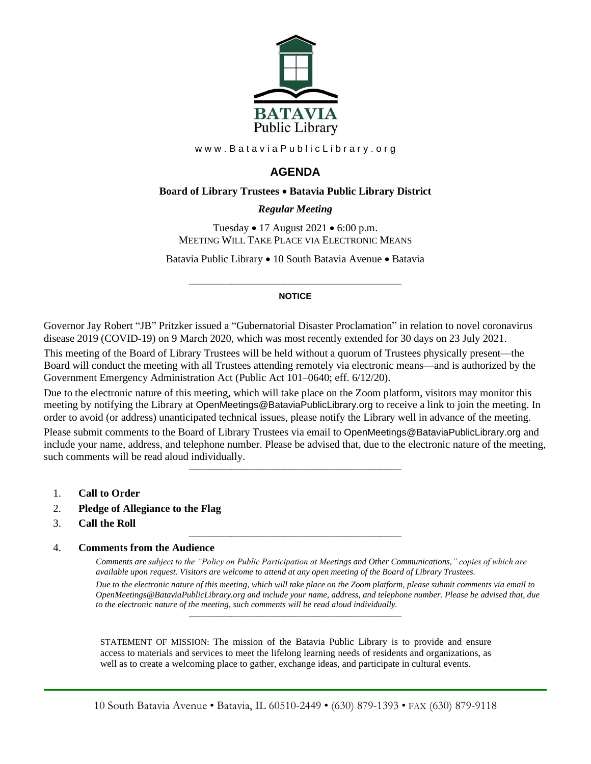

www.BataviaPublicLibrary.org

# **AGENDA**

### **Board of Library Trustees** • **Batavia Public Library District**

### *0BRegular Meeting*

Tuesday • 17 August 2021 • 6:00 p.m. MEETING WILL TAKE PLACE VIA ELECTRONIC MEANS

Batavia Public Library • 10 South Batavia Avenue • Batavia

#### ———————————————————— **NOTICE**

Governor Jay Robert "JB" Pritzker issued a "Gubernatorial Disaster Proclamation" in relation to novel coronavirus disease 2019 (COVID-19) on 9 March 2020, which was most recently extended for 30 days on 23 July 2021.

This meeting of the Board of Library Trustees will be held without a quorum of Trustees physically present—the Board will conduct the meeting with all Trustees attending remotely via electronic means—and is authorized by the Government Emergency Administration Act (Public Act 101–0640; eff. 6/12/20).

Due to the electronic nature of this meeting, which will take place on the Zoom platform, visitors may monitor this meeting by notifying the Library at OpenMeetings@BataviaPublicLibrary.org to receive a link to join the meeting. In order to avoid (or address) unanticipated technical issues, please notify the Library well in advance of the meeting. Please submit comments to the Board of Library Trustees via email to OpenMeetings@BataviaPublicLibrary.org and include your name, address, and telephone number. Please be advised that, due to the electronic nature of the meeting, such comments will be read aloud individually.

————————————————————

————————————————————

- 1. **Call to Order**
- 2. **Pledge of Allegiance to the Flag**
- 3. **Call the Roll**

#### 4. **Comments from the Audience**

*Comments are subject to the "Policy on Public Participation at Meetings and Other Communications," copies of which are available upon request. Visitors are welcome to attend at any open meeting of the Board of Library Trustees.*

*Due to the electronic nature of this meeting, which will take place on the Zoom platform, please submit comments via email to OpenMeetings@BataviaPublicLibrary.org and include your name, address, and telephone number. Please be advised that, due to the electronic nature of the meeting, such comments will be read aloud individually.*

STATEMENT OF MISSION: The mission of the Batavia Public Library is to provide and ensure access to materials and services to meet the lifelong learning needs of residents and organizations, as well as to create a welcoming place to gather, exchange ideas, and participate in cultural events.

————————————————————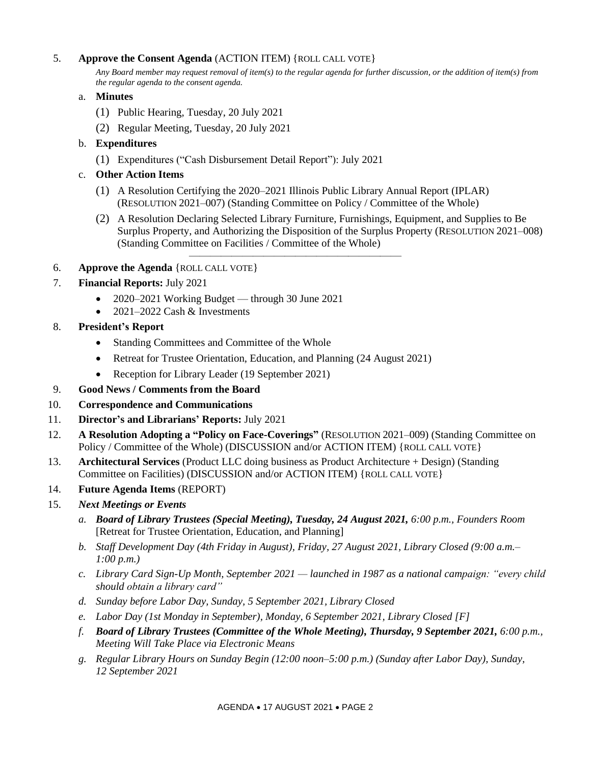## 5. **Approve the Consent Agenda** (ACTION ITEM) {ROLL CALL VOTE}

*Any Board member may request removal of item(s) to the regular agenda for further discussion, or the addition of item(s) from the regular agenda to the consent agenda.*

- a. **Minutes**
	- (1) Public Hearing, Tuesday, 20 July 2021
	- (2) Regular Meeting, Tuesday, 20 July 2021
- b. **Expenditures**
	- (1) Expenditures ("Cash Disbursement Detail Report"): July 2021
- c. **Other Action Items**
	- (1) A Resolution Certifying the 2020–2021 Illinois Public Library Annual Report (IPLAR) (RESOLUTION 2021–007) (Standing Committee on Policy / Committee of the Whole)

————————————————————

- (2) A Resolution Declaring Selected Library Furniture, Furnishings, Equipment, and Supplies to Be Surplus Property, and Authorizing the Disposition of the Surplus Property (RESOLUTION 2021–008) (Standing Committee on Facilities / Committee of the Whole)
- 6. **Approve the Agenda** {ROLL CALL VOTE}
- 7. **Financial Reports:** July 2021
	- 2020–2021 Working Budget through 30 June 2021
	- 2021–2022 Cash & Investments
- 8. **President's Report**
	- Standing Committees and Committee of the Whole
	- Retreat for Trustee Orientation, Education, and Planning (24 August 2021)
	- Reception for Library Leader (19 September 2021)
- 9. **Good News / Comments from the Board**
- 10. **Correspondence and Communications**
- 11. **Director's and Librarians' Reports:** July 2021
- 12. **A Resolution Adopting a "Policy on Face-Coverings"** (RESOLUTION 2021–009) (Standing Committee on Policy / Committee of the Whole) (DISCUSSION and/or ACTION ITEM) {ROLL CALL VOTE}
- 13. **Architectural Services** (Product LLC doing business as Product Architecture + Design) (Standing Committee on Facilities) (DISCUSSION and/or ACTION ITEM) {ROLL CALL VOTE}
- 14. **Future Agenda Items** (REPORT)
- 15. *Next Meetings or Events*
	- *a. Board of Library Trustees (Special Meeting), Tuesday, 24 August 2021, 6:00 p.m., Founders Room*  [Retreat for Trustee Orientation, Education, and Planning]
	- *b. Staff Development Day (4th Friday in August), Friday, 27 August 2021, Library Closed (9:00 a.m.– 1:00 p.m.)*
	- *c. Library Card Sign-Up Month, September 2021 — launched in 1987 as a national campaign: "every child should obtain a library card"*
	- *d. Sunday before Labor Day, Sunday, 5 September 2021, Library Closed*
	- *e. Labor Day (1st Monday in September), Monday, 6 September 2021, Library Closed [F]*
	- *f. Board of Library Trustees (Committee of the Whole Meeting), Thursday, 9 September 2021, 6:00 p.m., Meeting Will Take Place via Electronic Means*
	- *g. Regular Library Hours on Sunday Begin (12:00 noon–5:00 p.m.) (Sunday after Labor Day), Sunday, 12 September 2021*